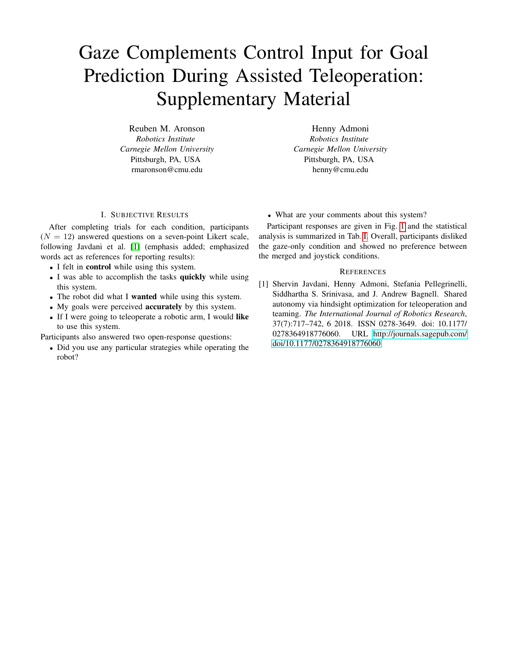## Gaze Complements Control Input for Goal Prediction During Assisted Teleoperation: Supplementary Material

Reuben M. Aronson *Robotics Institute Carnegie Mellon University* Pittsburgh, PA, USA [rmaronson@cmu.edu](mailto:rmaronson@cmu.edu)

Henny Admoni *Robotics Institute Carnegie Mellon University* Pittsburgh, PA, USA [henny@cmu.edu](mailto:henny@cmu.edu)

## I. SUBJECTIVE RESULTS

After completing trials for each condition, participants  $(N = 12)$  answered questions on a seven-point Likert scale, following Javdani et al. [\[1\]](#page-0-0) (emphasis added; emphasized words act as references for reporting results):

- I felt in control while using this system.
- I was able to accomplish the tasks quickly while using this system.
- The robot did what I wanted while using this system.
- My goals were perceived **accurately** by this system.
- If I were going to teleoperate a robotic arm, I would like to use this system.

Participants also answered two open-response questions:

• Did you use any particular strategies while operating the robot?

• What are your comments about this system?

Participant responses are given in Fig. [1](#page-1-0) and the statistical analysis is summarized in Tab. [I.](#page-1-1) Overall, participants disliked the gaze-only condition and showed no preference between the merged and joystick conditions.

## **REFERENCES**

<span id="page-0-0"></span>[1] Shervin Javdani, Henny Admoni, Stefania Pellegrinelli, Siddhartha S. Srinivasa, and J. Andrew Bagnell. Shared autonomy via hindsight optimization for teleoperation and teaming. *The International Journal of Robotics Research*, 37(7):717–742, 6 2018. ISSN 0278-3649. doi: 10.1177/ 0278364918776060. URL [http://journals.sagepub.com/](http://journals.sagepub.com/doi/10.1177/0278364918776060)  [doi/10.1177/0278364918776060.](http://journals.sagepub.com/doi/10.1177/0278364918776060)